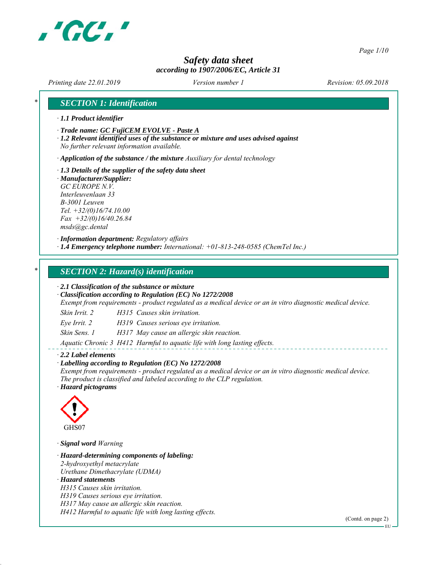

*Page 1/10*

# *Safety data sheet according to 1907/2006/EC, Article 31*

*Printing date 22.01.2019 Revision: 05.09.2018 Version number 1*

# *\* SECTION 1: Identification*

- *∙ 1.1 Product identifier*
- *∙ Trade name: GC FujiCEM EVOLVE Paste A*
- *∙ 1.2 Relevant identified uses of the substance or mixture and uses advised against No further relevant information available.*

*∙ Application of the substance / the mixture Auxiliary for dental technology*

- *∙ 1.3 Details of the supplier of the safety data sheet*
- *∙ Manufacturer/Supplier: GC EUROPE N.V. Interleuvenlaan 33 B-3001 Leuven Tel. +32/(0)16/74.10.00 Fax +32/(0)16/40.26.84 msds@gc.dental*

*∙ Information department: Regulatory affairs ∙ 1.4 Emergency telephone number: International: +01-813-248-0585 (ChemTel Inc.)*

## *\* SECTION 2: Hazard(s) identification*

*∙ 2.1 Classification of the substance or mixture*

*∙ Classification according to Regulation (EC) No 1272/2008*

*Exempt from requirements - product regulated as a medical device or an in vitro diagnostic medical device.*

*Skin Irrit. 2 H315 Causes skin irritation.*

*Eye Irrit. 2 H319 Causes serious eye irritation.*

*Skin Sens. 1 H317 May cause an allergic skin reaction.*

*Aquatic Chronic 3 H412 Harmful to aquatic life with long lasting effects.*

#### *∙ 2.2 Label elements*

#### *∙ Labelling according to Regulation (EC) No 1272/2008*

*Exempt from requirements - product regulated as a medical device or an in vitro diagnostic medical device. The product is classified and labeled according to the CLP regulation.*

*∙ Hazard pictograms*



*∙ Signal word Warning*

*∙ Hazard-determining components of labeling: 2-hydroxyethyl metacrylate Urethane Dimethacrylate (UDMA) ∙ Hazard statements H315 Causes skin irritation. H319 Causes serious eye irritation. H317 May cause an allergic skin reaction. H412 Harmful to aquatic life with long lasting effects.*

(Contd. on page 2)

EU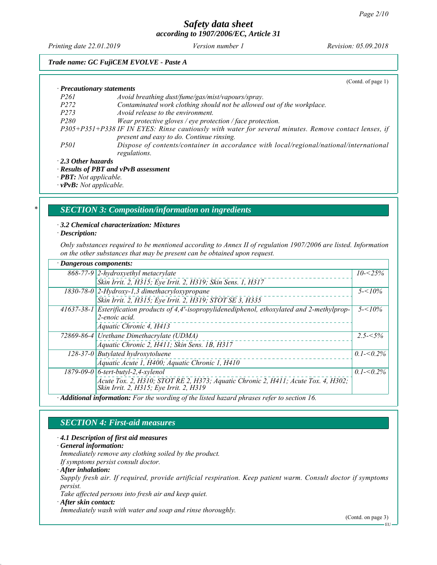*Printing date 22.01.2019 Revision: 05.09.2018 Version number 1*

## *Trade name: GC FujiCEM EVOLVE - Paste A*

|                                  | (Contd. of page 1)                                                                                     |
|----------------------------------|--------------------------------------------------------------------------------------------------------|
| $\cdot$ Precautionary statements |                                                                                                        |
| <i>P261</i>                      | Avoid breathing dust/fume/gas/mist/vapours/spray.                                                      |
| P <sub>272</sub>                 | Contaminated work clothing should not be allowed out of the workplace.                                 |
| P273                             | Avoid release to the environment.                                                                      |
| <i>P280</i>                      | Wear protective gloves / eye protection / face protection.                                             |
|                                  | P305+P351+P338 IF IN EYES: Rinse cautiously with water for several minutes. Remove contact lenses, if  |
|                                  | present and easy to do. Continue rinsing.                                                              |
| <i>P501</i>                      | Dispose of contents/container in accordance with local/regional/national/international<br>regulations. |
| $\cdot$ 2.3 Other hazards        |                                                                                                        |
|                                  | $.$ Deculte of DDT and $vDvD$ assessment                                                               |

*∙ Results of PBT and vPvB assessment*

*∙ PBT: Not applicable.*

*∙ vPvB: Not applicable.*

## *\* SECTION 3: Composition/information on ingredients*

*∙ 3.2 Chemical characterization: Mixtures*

*∙ Description:*

*Only substances required to be mentioned according to Annex II of regulation 1907/2006 are listed. Information on the other substances that may be present can be obtained upon request.*

| $\cdot$ Dangerous components: |                                                                                                                              |               |
|-------------------------------|------------------------------------------------------------------------------------------------------------------------------|---------------|
|                               | $868-77-9$ 2-hydroxyethyl metacrylate                                                                                        | $10 - 25\%$   |
|                               | Skin Irrit. 2, H315; Eye Irrit. 2, H319; Skin Sens. 1, H317                                                                  |               |
|                               | $1830$ -78-0 $2$ -Hydroxy-1,3 dimethacryloxypropane                                                                          | $5 - 10\%$    |
|                               | Skin Irrit. 2, H315; Eye Irrit. 2, H319; STOT SE 3, H335                                                                     |               |
|                               | 41637-38-1 Esterification products of 4,4'-isopropylidenediphenol, ethoxylated and 2-methylprop-                             | $5 - 10\%$    |
|                               | 2-enoic acid.                                                                                                                |               |
|                               | Aquatic Chronic 4, H413                                                                                                      |               |
|                               | 72869-86-4 Urethane Dimethacrylate (UDMA)                                                                                    | $2.5 - 5\%$   |
|                               | Aquatic Chronic 2, H411; Skin Sens. 1B, H317                                                                                 |               |
|                               | 128-37-0 Butylated hydroxytoluene                                                                                            | $0.1 - 5.2\%$ |
|                               | Aquatic Acute 1, H400; Aquatic Chronic 1, H410                                                                               |               |
|                               | $1879-09-0$ 6-tert-butyl-2,4-xylenol                                                                                         | $0.1 - 0.2\%$ |
|                               | Acute Tox. 2, H310; STOT RE 2, H373; Aquatic Chronic 2, H411; Acute Tox. 4, H302;<br>Skin Irrit. 2, H315; Eye Irrit. 2, H319 |               |
|                               | $\cdot$ Additional information: For the wording of the listed hazard phrases refer to section 16                             |               |

*∙ Additional information: For the wording of the listed hazard phrases refer to section 16.*

# *SECTION 4: First-aid measures*

*∙ 4.1 Description of first aid measures*

*∙ General information:*

*Immediately remove any clothing soiled by the product.*

*If symptoms persist consult doctor.*

*∙ After inhalation:*

*Supply fresh air. If required, provide artificial respiration. Keep patient warm. Consult doctor if symptoms persist.*

*Take affected persons into fresh air and keep quiet.*

*∙ After skin contact:*

*Immediately wash with water and soap and rinse thoroughly.*

(Contd. on page 3)

EU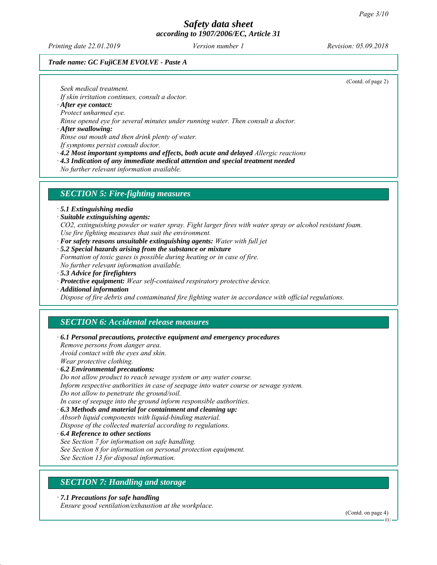*Printing date 22.01.2019 Revision: 05.09.2018 Version number 1*

### *Trade name: GC FujiCEM EVOLVE - Paste A*

(Contd. of page 2)

*Seek medical treatment.*

*If skin irritation continues, consult a doctor.*

*∙ After eye contact:*

*Protect unharmed eye.*

*Rinse opened eye for several minutes under running water. Then consult a doctor.*

*∙ After swallowing:*

*Rinse out mouth and then drink plenty of water.*

*If symptoms persist consult doctor.*

*∙ 4.2 Most important symptoms and effects, both acute and delayed Allergic reactions*

*∙ 4.3 Indication of any immediate medical attention and special treatment needed*

*No further relevant information available.*

#### *SECTION 5: Fire-fighting measures*

*∙ 5.1 Extinguishing media*

*∙ Suitable extinguishing agents:*

*CO2, extinguishing powder or water spray. Fight larger fires with water spray or alcohol resistant foam. Use fire fighting measures that suit the environment.*

- *∙ For safety reasons unsuitable extinguishing agents: Water with full jet*
- *∙ 5.2 Special hazards arising from the substance or mixture*

*Formation of toxic gases is possible during heating or in case of fire. No further relevant information available.*

- *∙ 5.3 Advice for firefighters*
- *∙ Protective equipment: Wear self-contained respiratory protective device.*
- *∙ Additional information*

*Dispose of fire debris and contaminated fire fighting water in accordance with official regulations.*

# *SECTION 6: Accidental release measures*

*∙ 6.1 Personal precautions, protective equipment and emergency procedures*

*Remove persons from danger area. Avoid contact with the eyes and skin. Wear protective clothing.*

*∙ 6.2 Environmental precautions:*

*Do not allow product to reach sewage system or any water course. Inform respective authorities in case of seepage into water course or sewage system. Do not allow to penetrate the ground/soil.*

*In case of seepage into the ground inform responsible authorities.*

*∙ 6.3 Methods and material for containment and cleaning up: Absorb liquid components with liquid-binding material.*

*Dispose of the collected material according to regulations.*

*∙ 6.4 Reference to other sections*

*See Section 7 for information on safe handling.*

*See Section 8 for information on personal protection equipment.*

*See Section 13 for disposal information.*

## *SECTION 7: Handling and storage*

*∙ 7.1 Precautions for safe handling*

*Ensure good ventilation/exhaustion at the workplace.*

(Contd. on page 4)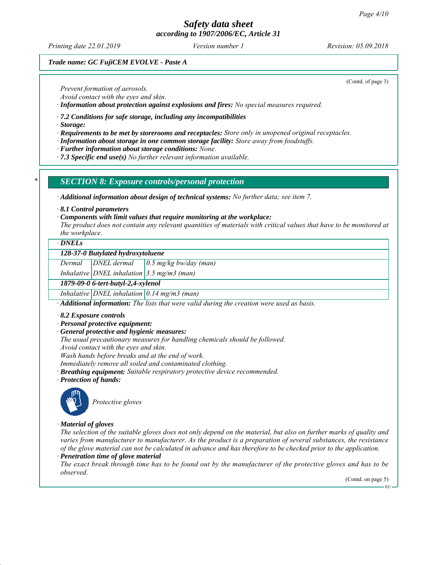*Printing date 22.01.2019 Revision: 05.09.2018 Version number 1*

(Contd. of page 3)

## *Trade name: GC FujiCEM EVOLVE - Paste A*

*Prevent formation of aerosols.*

*Avoid contact with the eyes and skin.*

*∙ Information about protection against explosions and fires: No special measures required.*

*∙ 7.2 Conditions for safe storage, including any incompatibilities*

*∙ Storage:*

- *∙ Requirements to be met by storerooms and receptacles: Store only in unopened original receptacles.*
- *∙ Information about storage in one common storage facility: Store away from foodstuffs.*

*∙ Further information about storage conditions: None.*

*∙ 7.3 Specific end use(s) No further relevant information available.*

#### *\* SECTION 8: Exposure controls/personal protection*

*∙ Additional information about design of technical systems: No further data; see item 7.*

*∙ 8.1 Control parameters*

*∙ Components with limit values that require monitoring at the workplace:*

*The product does not contain any relevant quantities of materials with critical values that have to be monitored at the workplace.*

#### *∙ DNELs*

#### *128-37-0 Butylated hydroxytoluene*

*Dermal DNEL dermal 0.5 mg/kg bw/day (man)*

*Inhalative DNEL inhalation 3.5 mg/m3 (man)*

*1879-09-0 6-tert-butyl-2,4-xylenol*

*Inhalative DNEL inhalation 0.14 mg/m3 (man)*

*∙ Additional information: The lists that were valid during the creation were used as basis.*

- *∙ 8.2 Exposure controls*
- *∙ Personal protective equipment:*
- *∙ General protective and hygienic measures:*

*The usual precautionary measures for handling chemicals should be followed.*

*Avoid contact with the eyes and skin.*

*Wash hands before breaks and at the end of work.*

*Immediately remove all soiled and contaminated clothing.*

- *∙ Breathing equipment: Suitable respiratory protective device recommended.*
- *∙ Protection of hands:*



*Protective gloves*

#### *∙ Material of gloves*

*The selection of the suitable gloves does not only depend on the material, but also on further marks of quality and varies from manufacturer to manufacturer. As the product is a preparation of several substances, the resistance of the glove material can not be calculated in advance and has therefore to be checked prior to the application.*

*∙ Penetration time of glove material*

*The exact break through time has to be found out by the manufacturer of the protective gloves and has to be observed.*

(Contd. on page 5)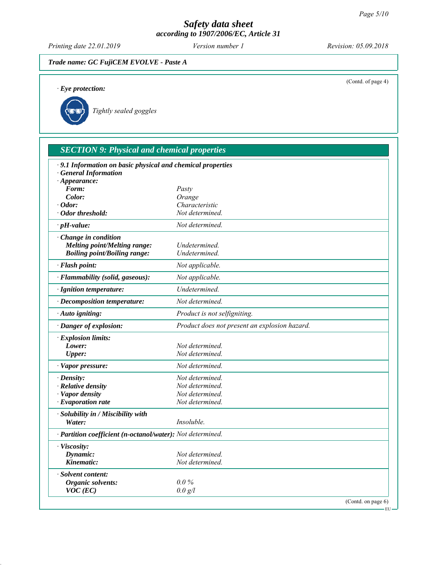EU

# *Safety data sheet according to 1907/2006/EC, Article 31*

*Printing date 22.01.2019 Revision: 05.09.2018 Version number 1*

# *Trade name: GC FujiCEM EVOLVE - Paste A*

| $\cdot$ Eye protection:                                                              |                                               | (Contd. of page 4) |
|--------------------------------------------------------------------------------------|-----------------------------------------------|--------------------|
|                                                                                      |                                               |                    |
| Tightly sealed goggles                                                               |                                               |                    |
|                                                                                      |                                               |                    |
|                                                                                      |                                               |                    |
| <b>SECTION 9: Physical and chemical properties</b>                                   |                                               |                    |
| · 9.1 Information on basic physical and chemical properties<br>· General Information |                                               |                    |
| $\cdot$ Appearance:                                                                  |                                               |                    |
| Form:<br>Color:                                                                      | Pasty<br>Orange                               |                    |
| $\cdot$ Odor:                                                                        | Characteristic                                |                    |
| $\cdot$ Odor threshold:                                                              | Not determined.                               |                    |
| $\cdot$ pH-value:                                                                    | Not determined.                               |                    |
| · Change in condition                                                                |                                               |                    |
| <b>Melting point/Melting range:</b>                                                  | Undetermined.                                 |                    |
| <b>Boiling point/Boiling range:</b>                                                  | Undetermined.                                 |                    |
| · Flash point:                                                                       | Not applicable.                               |                    |
| · Flammability (solid, gaseous):                                                     | Not applicable.                               |                    |
| · Ignition temperature:                                                              | Undetermined.                                 |                    |
| · Decomposition temperature:                                                         | Not determined.                               |                    |
| · Auto igniting:                                                                     | Product is not selfigniting.                  |                    |
| · Danger of explosion:                                                               | Product does not present an explosion hazard. |                    |
| · Explosion limits:                                                                  |                                               |                    |
| Lower:                                                                               | Not determined.                               |                    |
| <b>Upper:</b>                                                                        | Not determined.                               |                    |
| · Vapor pressure:                                                                    | Not determined.                               |                    |
| $\cdot$ Density:                                                                     | Not determined.                               |                    |
| $\cdot$ Relative density                                                             | Not determined.                               |                    |
| · Vapor density<br>$\cdot$ Evaporation rate                                          | Not determined.<br>Not determined.            |                    |
|                                                                                      |                                               |                    |
| $\cdot$ Solubility in / Miscibility with                                             |                                               |                    |
| Water:                                                                               | Insoluble.                                    |                    |
| · Partition coefficient (n-octanol/water): Not determined.                           |                                               |                    |
| · Viscosity:                                                                         |                                               |                    |
| Dynamic:                                                                             | Not determined.                               |                    |
| Kinematic:                                                                           | Not determined.                               |                    |
| · Solvent content:                                                                   |                                               |                    |
| <b>Organic solvents:</b>                                                             | $0.0\%$                                       |                    |
| $VOC$ (EC)                                                                           | 0.0 g/l                                       |                    |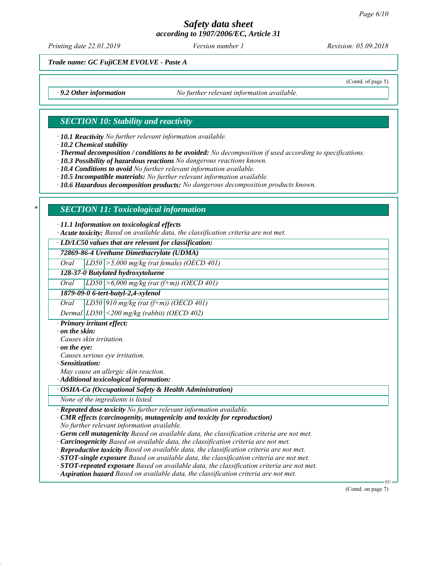*Printing date 22.01.2019 Revision: 05.09.2018 Version number 1*

(Contd. of page 5)

*Trade name: GC FujiCEM EVOLVE - Paste A*

*∙ 9.2 Other information No further relevant information available.*

## *SECTION 10: Stability and reactivity*

*∙ 10.1 Reactivity No further relevant information available.*

*∙ 10.2 Chemical stability*

*∙ Thermal decomposition / conditions to be avoided: No decomposition if used according to specifications.*

*∙ 10.3 Possibility of hazardous reactions No dangerous reactions known.*

*∙ 10.4 Conditions to avoid No further relevant information available.*

*∙ 10.5 Incompatible materials: No further relevant information available.*

*∙ 10.6 Hazardous decomposition products: No dangerous decomposition products known.*

# *\* SECTION 11: Toxicological information*

*∙ 11.1 Information on toxicological effects*

*∙ Acute toxicity: Based on available data, the classification criteria are not met.*

*∙ LD/LC50 values that are relevant for classification:*

*72869-86-4 Urethane Dimethacrylate (UDMA)*

*Oral LD50 >5,000 mg/kg (rat female) (OECD 401)*

*128-37-0 Butylated hydroxytoluene*

*Oral LD50 >6,000 mg/kg (rat (f+m)) (OECD 401)*

*1879-09-0 6-tert-butyl-2,4-xylenol*

*Oral LD50 910 mg/kg (rat (f+m)) (OECD 401)*

*Dermal LD50 <200 mg/kg (rabbit) (OECD 402)*

*∙ Primary irritant effect:*

*∙ on the skin:*

*Causes skin irritation. ∙ on the eye:*

*Causes serious eye irritation.*

*∙ Sensitization:*

*May cause an allergic skin reaction.*

*∙ Additional toxicological information:*

*∙ OSHA-Ca (Occupational Safety & Health Administration)*

*None of the ingredients is listed.*

*∙ Repeated dose toxicity No further relevant information available.*

*∙ CMR effects (carcinogenity, mutagenicity and toxicity for reproduction)*

*No further relevant information available.*

*∙ Germ cell mutagenicity Based on available data, the classification criteria are not met.*

*∙ Carcinogenicity Based on available data, the classification criteria are not met.*

*∙ Reproductive toxicity Based on available data, the classification criteria are not met.*

*∙ STOT-single exposure Based on available data, the classification criteria are not met.*

*∙ STOT-repeated exposure Based on available data, the classification criteria are not met.*

*∙ Aspiration hazard Based on available data, the classification criteria are not met.*

(Contd. on page 7)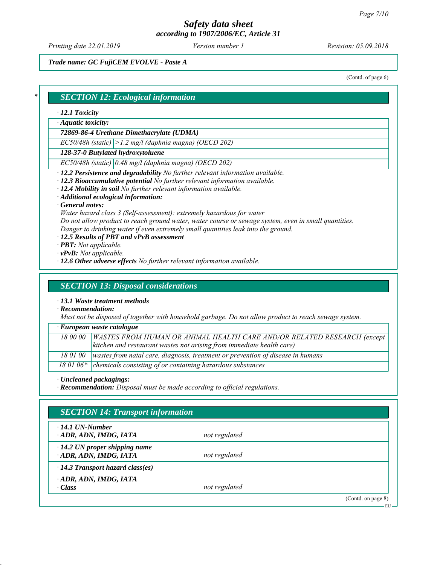*Printing date 22.01.2019 Revision: 05.09.2018 Version number 1*

*Trade name: GC FujiCEM EVOLVE - Paste A*

(Contd. of page 6)

## *\* SECTION 12: Ecological information*

#### *∙ 12.1 Toxicity*

*∙ Aquatic toxicity:*

*72869-86-4 Urethane Dimethacrylate (UDMA)*

*EC50/48h (static) >1.2 mg/l (daphnia magna) (OECD 202)*

*128-37-0 Butylated hydroxytoluene*

*EC50/48h (static) 0.48 mg/l (daphnia magna) (OECD 202)*

*∙ 12.2 Persistence and degradability No further relevant information available.*

*∙ 12.3 Bioaccumulative potential No further relevant information available.*

*∙ 12.4 Mobility in soil No further relevant information available.*

*∙ Additional ecological information:*

*∙ General notes:*

*Water hazard class 3 (Self-assessment): extremely hazardous for water*

*Do not allow product to reach ground water, water course or sewage system, even in small quantities. Danger to drinking water if even extremely small quantities leak into the ground.*

*∙ 12.5 Results of PBT and vPvB assessment*

*∙ PBT: Not applicable.*

- *∙ vPvB: Not applicable.*
- *∙ 12.6 Other adverse effects No further relevant information available.*

### *SECTION 13: Disposal considerations*

*∙ 13.1 Waste treatment methods*

*∙ Recommendation:*

*Must not be disposed of together with household garbage. Do not allow product to reach sewage system.*

*∙ European waste catalogue*

| 18 00 00   WASTES FROM HUMAN OR ANIMAL HEALTH CARE AND/OR RELATED RESEARCH (except |
|------------------------------------------------------------------------------------|
| $\vert$ kitchen and restaurant wastes not arising from immediate health care)      |

*18 01 00 wastes from natal care, diagnosis, treatment or prevention of disease in humans*

18 01 06<sup>\*</sup> chemicals consisting of or containing hazardous substances

*∙ Uncleaned packagings:*

*∙ Recommendation: Disposal must be made according to official regulations.*

| $\cdot$ 14.1 UN-Number<br>ADR, ADN, IMDG, IATA               | not regulated |  |
|--------------------------------------------------------------|---------------|--|
| $\cdot$ 14.2 UN proper shipping name<br>ADR, ADN, IMDG, IATA | not regulated |  |
| $\cdot$ 14.3 Transport hazard class(es)                      |               |  |
| ADR, ADN, IMDG, IATA<br>$\cdot Class$                        | not regulated |  |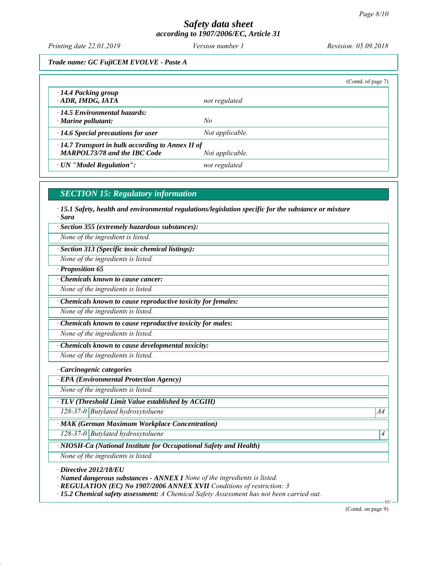*Printing date 22.01.2019 Revision: 05.09.2018 Version number 1*

*Trade name: GC FujiCEM EVOLVE - Paste A*

|                                                                                                                   |                 | (Contd. of page 7) |
|-------------------------------------------------------------------------------------------------------------------|-----------------|--------------------|
| $\cdot$ 14.4 Packing group<br>ADR, IMDG, IATA                                                                     | not regulated   |                    |
| $\cdot$ 14.5 Environmental hazards:<br>$\cdot$ Marine pollutant:                                                  | No              |                    |
| $\cdot$ 14.6 Special precautions for user                                                                         | Not applicable. |                    |
| $\cdot$ 14.7 Transport in bulk according to Annex II of<br><b>MARPOL73/78 and the IBC Code</b><br>Not applicable. |                 |                    |
| · UN "Model Regulation":                                                                                          | not regulated   |                    |

# *SECTION 15: Regulatory information*

*∙ 15.1 Safety, health and environmental regulations/legislation specific for the substance or mixture ∙ Sara*

*∙ Section 355 (extremely hazardous substances):*

*None of the ingredient is listed.*

*∙ Section 313 (Specific toxic chemical listings):*

*None of the ingredients is listed.*

*∙ Proposition 65*

*∙ Chemicals known to cause cancer:*

*None of the ingredients is listed.*

*∙ Chemicals known to cause reproductive toxicity for females:*

*None of the ingredients is listed.*

*∙ Chemicals known to cause reproductive toxicity for males:*

*None of the ingredients is listed.*

*∙ Chemicals known to cause developmental toxicity:*

*None of the ingredients is listed.*

*∙ Carcinogenic categories*

*∙ EPA (Environmental Protection Agency)*

*None of the ingredients is listed.*

*∙ TLV (Threshold Limit Value established by ACGIH)*

*128-37-0 Butylated hydroxytoluene* A4<sup>4</sup>

*∙ MAK (German Maximum Workplace Concentration)*

*128-37-0 Butylated hydroxytoluene 4* 

*∙ NIOSH-Ca (National Institute for Occupational Safety and Health)*

*None of the ingredients is listed.*

*∙ Directive 2012/18/EU*

*∙ Named dangerous substances - ANNEX I None of the ingredients is listed.*

*∙ REGULATION (EC) No 1907/2006 ANNEX XVII Conditions of restriction: 3*

*∙ 15.2 Chemical safety assessment: A Chemical Safety Assessment has not been carried out.*

(Contd. on page 9)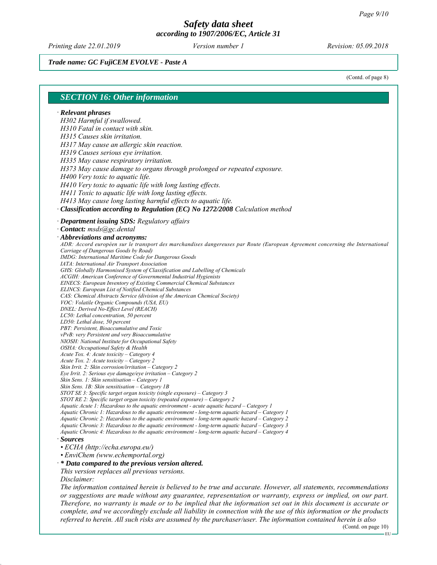*Printing date 22.01.2019 Revision: 05.09.2018 Version number 1*

*Trade name: GC FujiCEM EVOLVE - Paste A*

(Contd. of page 8)

#### *SECTION 16: Other information ∙ Relevant phrases H302 Harmful if swallowed. H310 Fatal in contact with skin. H315 Causes skin irritation. H317 May cause an allergic skin reaction. H319 Causes serious eye irritation. H335 May cause respiratory irritation. H373 May cause damage to organs through prolonged or repeated exposure. H400 Very toxic to aquatic life. H410 Very toxic to aquatic life with long lasting effects. H411 Toxic to aquatic life with long lasting effects. H413 May cause long lasting harmful effects to aquatic life. ∙ Classification according to Regulation (EC) No 1272/2008 Calculation method ∙ Department issuing SDS: Regulatory affairs ∙ Contact: msds@gc.dental ∙ Abbreviations and acronyms: ADR: Accord européen sur le transport des marchandises dangereuses par Route (European Agreement concerning the International Carriage of Dangerous Goods by Road) IMDG: International Maritime Code for Dangerous Goods IATA: International Air Transport Association GHS: Globally Harmonised System of Classification and Labelling of Chemicals ACGIH: American Conference of Governmental Industrial Hygienists EINECS: European Inventory of Existing Commercial Chemical Substances ELINCS: European List of Notified Chemical Substances CAS: Chemical Abstracts Service (division of the American Chemical Society) VOC: Volatile Organic Compounds (USA, EU) DNEL: Derived No-Effect Level (REACH) LC50: Lethal concentration, 50 percent LD50: Lethal dose, 50 percent PBT: Persistent, Bioaccumulative and Toxic vPvB: very Persistent and very Bioaccumulative NIOSH: National Institute for Occupational Safety OSHA: Occupational Safety & Health Acute Tox. 4: Acute toxicity – Category 4 Acute Tox. 2: Acute toxicity – Category 2 Skin Irrit. 2: Skin corrosion/irritation – Category 2 Eye Irrit. 2: Serious eye damage/eye irritation – Category 2 Skin Sens. 1: Skin sensitisation – Category 1 Skin Sens. 1B: Skin sensitisation – Category 1B STOT SE 3: Specific target organ toxicity (single exposure) – Category 3 STOT RE 2: Specific target organ toxicity (repeated exposure) – Category 2 Aquatic Acute 1: Hazardous to the aquatic environment - acute aquatic hazard – Category 1 Aquatic Chronic 1: Hazardous to the aquatic environment - long-term aquatic hazard – Category 1 Aquatic Chronic 2: Hazardous to the aquatic environment - long-term aquatic hazard – Category 2 Aquatic Chronic 3: Hazardous to the aquatic environment - long-term aquatic hazard – Category 3 Aquatic Chronic 4: Hazardous to the aquatic environment - long-term aquatic hazard – Category 4 ∙ Sources • ECHA (http://echa.europa.eu/) • EnviChem (www.echemportal.org) ∙ \* Data compared to the previous version altered. This version replaces all previous versions. Disclaimer: The information contained herein is believed to be true and accurate. However, all statements, recommendations or suggestions are made without any guarantee, representation or warranty, express or implied, on our part. Therefore, no warranty is made or to be implied that the information set out in this document is accurate or complete, and we accordingly exclude all liability in connection with the use of this information or the products referred to herein. All such risks are assumed by the purchaser/user. The information contained herein is also*

(Contd. on page 10)